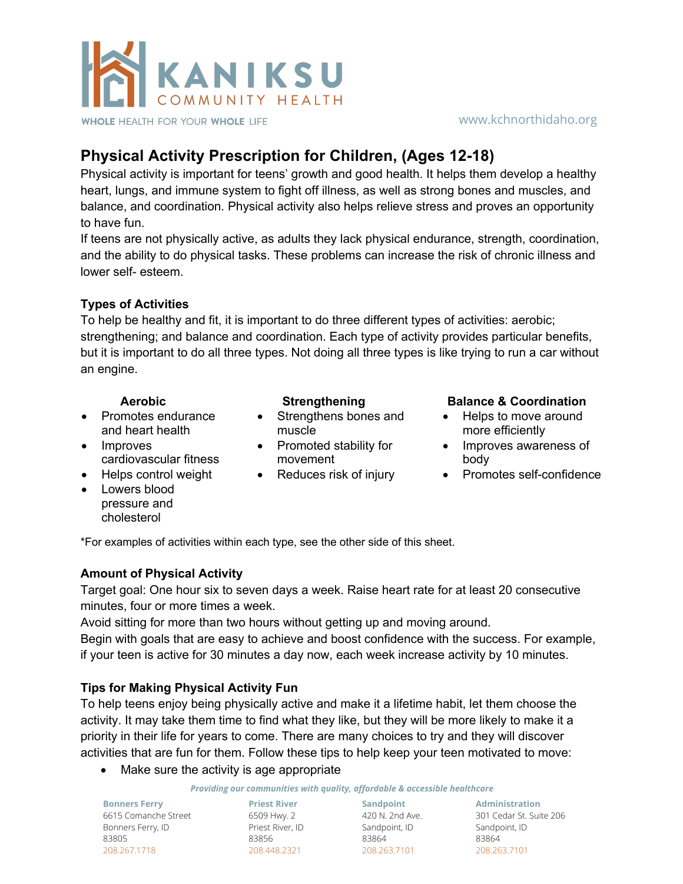

### www.kchnorthidaho.org

# **Physical Activity Prescription for Children, (Ages 12-18)**

Physical activity is important for teens' growth and good health. It helps them develop a healthy heart, lungs, and immune system to fight off illness, as well as strong bones and muscles, and balance, and coordination. Physical activity also helps relieve stress and proves an opportunity to have fun.

If teens are not physically active, as adults they lack physical endurance, strength, coordination, and the ability to do physical tasks. These problems can increase the risk of chronic illness and lower self- esteem.

## **Types of Activities**

To help be healthy and fit, it is important to do three different types of activities: aerobic; strengthening; and balance and coordination. Each type of activity provides particular benefits, but it is important to do all three types. Not doing all three types is like trying to run a car without an engine.

- Promotes endurance and heart health
- Improves cardiovascular fitness
- 
- Lowers blood pressure and cholesterol

- Strengthens bones and muscle
- Promoted stability for movement
- 

### **Aerobic Strengthening Balance & Coordination**

- Helps to move around more efficiently
- Improves awareness of body
- Helps control weight Reduces risk of injury Promotes self-confidence

\*For examples of activities within each type, see the other side of this sheet.

### **Amount of Physical Activity**

Target goal: One hour six to seven days a week. Raise heart rate for at least 20 consecutive minutes, four or more times a week.

Avoid sitting for more than two hours without getting up and moving around.

Begin with goals that are easy to achieve and boost confidence with the success. For example, if your teen is active for 30 minutes a day now, each week increase activity by 10 minutes.

### **Tips for Making Physical Activity Fun**

To help teens enjoy being physically active and make it a lifetime habit, let them choose the activity. It may take them time to find what they like, but they will be more likely to make it a priority in their life for years to come. There are many choices to try and they will discover activities that are fun for them. Follow these tips to help keep your teen motivated to move:

• Make sure the activity is age appropriate

*Providing our communities with quality, affordable & accessible healthcare*

**Bonners Ferry** 6615 Comanche Street Bonners Ferry, ID 83805 208.267.1718

**Priest River Sandpoint** 6509 Hwy. 2 Priest River, ID 83856 208.448.2321

420 N. 2nd Ave. Sandpoint, ID 83864 208.263.7101

**Administration** 301 Cedar St. Suite 206 Sandpoint, ID 83864 208.263.7101